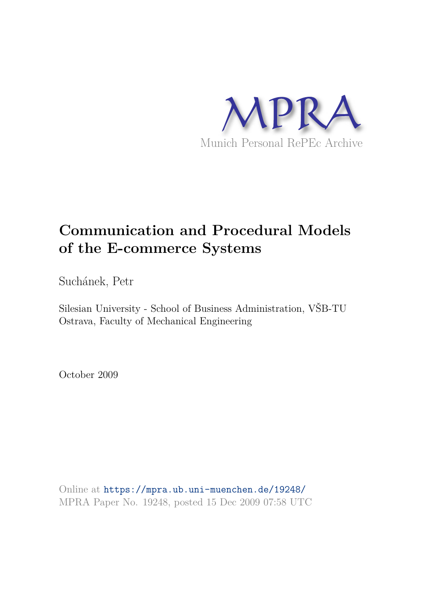

# **Communication and Procedural Models of the E-commerce Systems**

Suchánek, Petr

Silesian University - School of Business Administration, VŠB-TU Ostrava, Faculty of Mechanical Engineering

October 2009

Online at https://mpra.ub.uni-muenchen.de/19248/ MPRA Paper No. 19248, posted 15 Dec 2009 07:58 UTC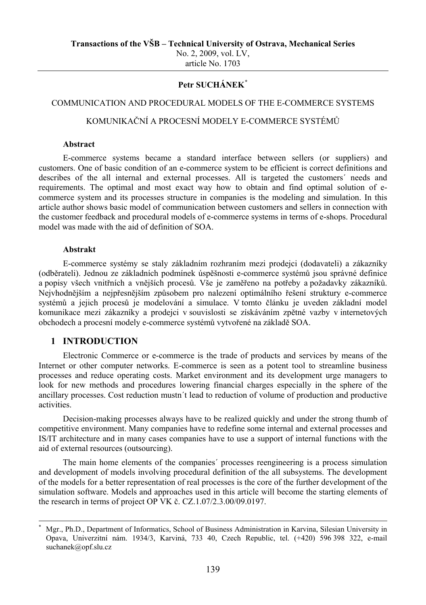No. 2, 2009, vol. LV, article No. 1703

## **Petr SUCHÁNEK[\\*](#page-1-0)**

### COMMUNICATION AND PROCEDURAL MODELS OF THE E-COMMERCE SYSTEMS

## KOMUNIKAČNÍ A PROCESNÍ MODELY E-COMMERCE SYSTÉMŮ

#### **Abstract**

E-commerce systems became a standard interface between sellers (or suppliers) and customers. One of basic condition of an e-commerce system to be efficient is correct definitions and describes of the all internal and external processes. All is targeted the customers´ needs and requirements. The optimal and most exact way how to obtain and find optimal solution of ecommerce system and its processes structure in companies is the modeling and simulation. In this article author shows basic model of communication between customers and sellers in connection with the customer feedback and procedural models of e-commerce systems in terms of e-shops. Procedural model was made with the aid of definition of SOA.

### **Abstrakt**

E-commerce systémy se staly základním rozhraním mezi prodejci (dodavateli) a zákazníky (odběrateli). Jednou ze základních podmínek úspěšnosti e-commerce systémů jsou správné definice a popisy všech vnitřních a vnějších procesů. Vše je zaměřeno na potřeby a požadavky zákazníků. Nejvhodnějším a nejpřesnějším způsobem pro nalezení optimálního řešení struktury e-commerce systémů a jejich procesů je modelování a simulace. V tomto článku je uveden základní model komunikace mezi zákazníky a prodejci v souvislosti se získáváním zpětné vazby v internetových obchodech a procesní modely e-commerce systémů vytvořené na základě SOA.

#### **1 INTRODUCTION**

-

Electronic Commerce or e-commerce is the trade of products and services by means of the Internet or other computer networks. E-commerce is seen as a potent tool to streamline business processes and reduce operating costs. Market environment and its development urge managers to look for new methods and procedures lowering financial charges especially in the sphere of the ancillary processes. Cost reduction mustn´t lead to reduction of volume of production and productive activities.

Decision-making processes always have to be realized quickly and under the strong thumb of competitive environment. Many companies have to redefine some internal and external processes and IS/IT architecture and in many cases companies have to use a support of internal functions with the aid of external resources (outsourcing).

The main home elements of the companies´ processes reengineering is a process simulation and development of models involving procedural definition of the all subsystems. The development of the models for a better representation of real processes is the core of the further development of the simulation software. Models and approaches used in this article will become the starting elements of the research in terms of project OP VK č. CZ.1.07/2.3.00/09.0197.

<span id="page-1-0"></span><sup>\*</sup> Mgr., Ph.D., Department of Informatics, School of Business Administration in Karvina, Silesian University in Opava, Univerzitní nám. 1934/3, Karviná, 733 40, Czech Republic, tel. (+420) 596 398 322, e-mail suchanek@opf.slu.cz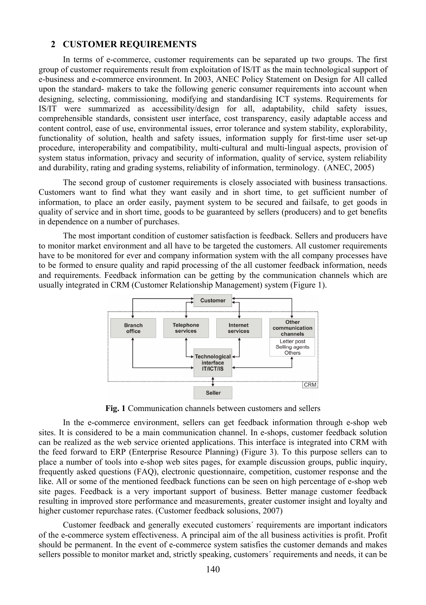### **2 CUSTOMER REQUIREMENTS**

In terms of e-commerce, customer requirements can be separated up two groups. The first group of customer requirements result from exploitation of IS/IT as the main technological support of e-business and e-commerce environment. In 2003, ANEC Policy Statement on Design for All called upon the standard- makers to take the following generic consumer requirements into account when designing, selecting, commissioning, modifying and standardising ICT systems. Requirements for IS/IT were summarized as accessibility/design for all, adaptability, child safety issues, comprehensible standards, consistent user interface, cost transparency, easily adaptable access and content control, ease of use, environmental issues, error tolerance and system stability, explorability, functionality of solution, health and safety issues, information supply for first-time user set-up procedure, interoperability and compatibility, multi-cultural and multi-lingual aspects, provision of system status information, privacy and security of information, quality of service, system reliability and durability, rating and grading systems, reliability of information, terminology. (ANEC, 2005)

The second group of customer requirements is closely associated with business transactions. Customers want to find what they want easily and in short time, to get sufficient number of information, to place an order easily, payment system to be secured and failsafe, to get goods in quality of service and in short time, goods to be guaranteed by sellers (producers) and to get benefits in dependence on a number of purchases.

The most important condition of customer satisfaction is feedback. Sellers and producers have to monitor market environment and all have to be targeted the customers. All customer requirements have to be monitored for ever and company information system with the all company processes have to be formed to ensure quality and rapid processing of the all customer feedback information, needs and requirements. Feedback information can be getting by the communication channels which are usually integrated in CRM (Customer Relationship Management) system (Figure 1).



**Fig. 1** Communication channels between customers and sellers

In the e-commerce environment, sellers can get feedback information through e-shop web sites. It is considered to be a main communication channel. In e-shops, customer feedback solution can be realized as the web service oriented applications. This interface is integrated into CRM with the feed forward to ERP (Enterprise Resource Planning) (Figure 3). To this purpose sellers can to place a number of tools into e-shop web sites pages, for example discussion groups, public inquiry, frequently asked questions (FAQ), electronic questionnaire, competition, customer response and the like. All or some of the mentioned feedback functions can be seen on high percentage of e-shop web site pages. Feedback is a very important support of business. Better manage [customer feedback](http://www.custfeedback.com/markets/customer-feedback.aspx) resulting in improved store performance and measurements, greater customer insight and loyalty and higher customer repurchase rates. (Customer feedback solusions, 2007)

Customer feedback and generally executed customers´ requirements are important indicators of the e-commerce system effectiveness. A principal aim of the all business activities is profit. Profit should be permanent. In the event of e-commerce system satisfies the customer demands and makes sellers possible to monitor market and, strictly speaking, customers´ requirements and needs, it can be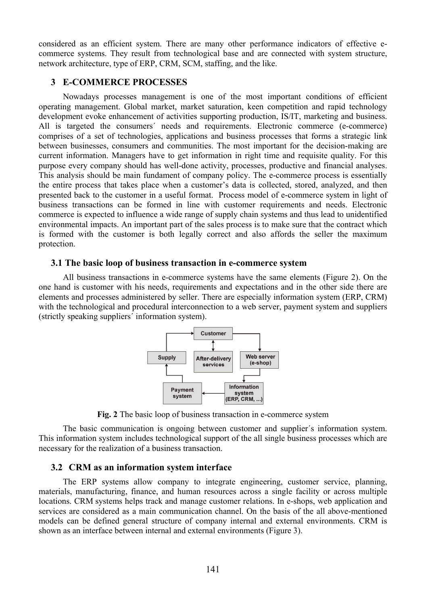considered as an efficient system. There are many other performance indicators of effective ecommerce systems. They result from technological base and are connected with system structure, network architecture, type of ERP, CRM, SCM, staffing, and the like.

# **3 E-COMMERCE PROCESSES**

Nowadays processes management is one of the most important conditions of efficient operating management. Global market, market saturation, keen competition and rapid technology development evoke enhancement of activities supporting production, IS/IT, marketing and business. All is targeted the consumers´ needs and requirements. Electronic commerce (e-commerce) comprises of a set of technologies, applications and business processes that forms a strategic link between businesses, consumers and communities. The most important for the decision-making are current information. Managers have to get information in right time and requisite quality. For this purpose every company should has well-done activity, processes, productive and financial analyses. This analysis should be main fundament of company policy. The e-commerce process is essentially the entire process that takes place when a customer's data is collected, stored, analyzed, and then presented back to the customer in a useful format. Process model of e-commerce system in light of business transactions can be formed in line with customer requirements and needs. Electronic commerce is expected to influence a wide range of supply chain systems and thus lead to unidentified environmental impacts. An important part of the sales process is to make sure that the contract which is formed with the customer is both legally correct and also affords the seller the maximum protection.

## **3.1 The basic loop of business transaction in e-commerce system**

All business transactions in e-commerce systems have the same elements (Figure 2). On the one hand is customer with his needs, requirements and expectations and in the other side there are elements and processes administered by seller. There are especially information system (ERP, CRM) with the technological and procedural interconnection to a web server, payment system and suppliers (strictly speaking suppliers´ information system).



**Fig. 2** The basic loop of business transaction in e-commerce system

The basic communication is ongoing between customer and supplier´s information system. This information system includes technological support of the all single business processes which are necessary for the realization of a business transaction.

# **3.2 CRM as an information system interface**

The ERP systems allow company to integrate engineering, customer service, planning, materials, manufacturing, finance, and human resources across a single facility or across multiple locations. CRM systems helps track and manage customer relations. In e-shops, web application and services are considered as a main communication channel. On the basis of the all above-mentioned models can be defined general structure of company internal and external environments. CRM is shown as an interface between internal and external environments (Figure 3).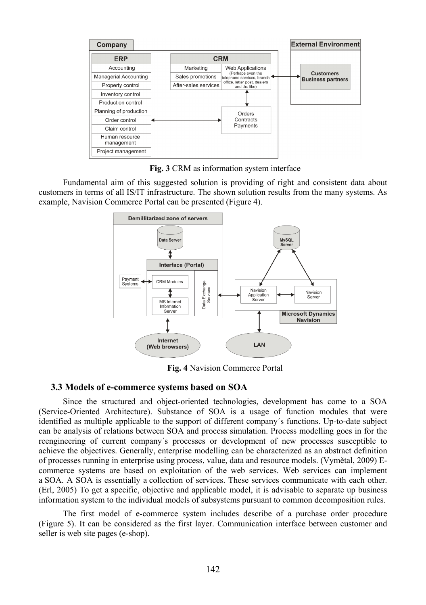

**Fig. 3** CRM as information system interface

Fundamental aim of this suggested solution is providing of right and consistent data about customers in terms of all IS/IT infrastructure. The shown solution results from the many systems. As example, Navision Commerce Portal can be presented (Figure 4).



**Fig. 4** Navision Commerce Portal

#### **3.3 Models of e-commerce systems based on SOA**

Since the structured and object-oriented technologies, development has come to a SOA (Service-Oriented Architecture). Substance of SOA is a usage of function modules that were identified as multiple applicable to the support of different company´s functions. Up-to-date subject can be analysis of relations between SOA and process simulation. Process modelling goes in for the reengineering of current company´s processes or development of new processes susceptible to achieve the objectives. Generally, enterprise modelling can be characterized as an abstract definition of processes running in enterprise using process, value, data and resource models. (Vymětal, 2009) Ecommerce systems are based on exploitation of the web services. Web services can implement a SOA. A SOA is essentially a collection of services. These services communicate with each other. (Erl, 2005) To get a specific, objective and applicable model, it is advisable to separate up business information system to the individual models of subsystems pursuant to common decomposition rules.

The first model of e-commerce system includes describe of a purchase order procedure (Figure 5). It can be considered as the first layer. Communication interface between customer and seller is web site pages (e-shop).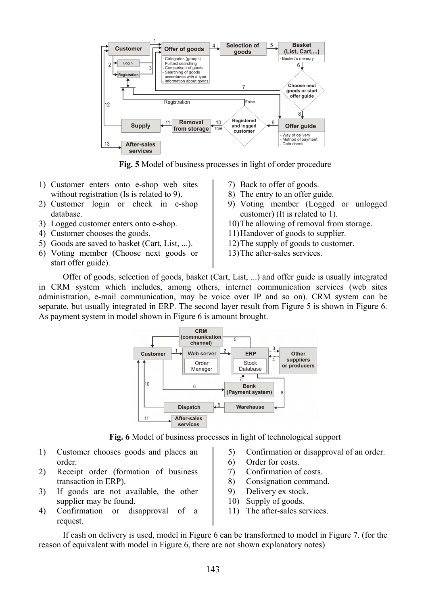

**Fig. 5** Model of business processes in light of order procedure

- 1) Customer enters onto e-shop web sites without registration (Is is related to 9).
- 2) Customer login or check in e-shop database.
- 
- 4) Customer chooses the goods. 11)Handover of goods to supplier.
- 5) Goods are saved to basket (Cart, List, ...). 12)The supply of goods to customer.
- 6) Voting member (Choose next goods or start offer guide).
- 7) Back to offer of goods.
- 8) The entry to an offer guide.
- 9) Voting member (Logged or unlogged customer) (It is related to 1).
- 3) Logged customer enters onto e-shop. 10) The allowing of removal from storage.
	-
	-
	- 13)The after-sales services.

Offer of goods, selection of goods, basket (Cart, List, ...) and offer guide is usually integrated in CRM system which includes, among others, internet communication services (web sites administration, e-mail communication, may be voice over IP and so on). CRM system can be separate, but usually integrated in ERP. The second layer result from Figure 5 is shown in Figure 6. As payment system in model shown in Figure 6 is amount brought.



**Fig. 6** Model of business processes in light of technological support

- 1) Customer chooses goods and places an order.
- 2) Receipt order (formation of business transaction in ERP).
- 3) If goods are not available, the other supplier may be found.
- 4) Confirmation or disapproval of a request.
- 5) Confirmation or disapproval of an order.
- 6) Order for costs.
- 7) Confirmation of costs.
- 8) Consignation command.
- 9) Delivery ex stock.
- 10) Supply of goods.
- 11) The after-sales services.

If cash on delivery is used, model in Figure 6 can be transformed to model in Figure 7. (for the reason of equivalent with model in Figure 6, there are not shown explanatory notes)